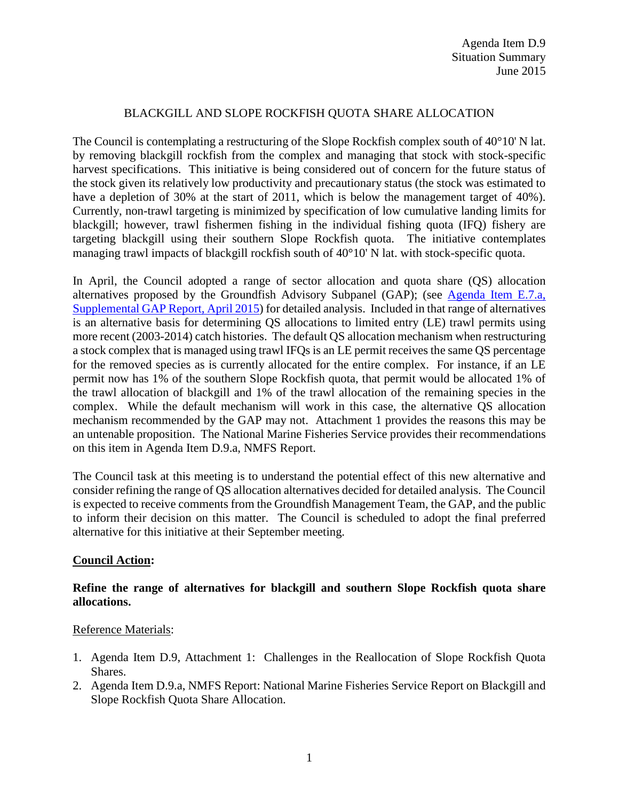## BLACKGILL AND SLOPE ROCKFISH QUOTA SHARE ALLOCATION

The Council is contemplating a restructuring of the Slope Rockfish complex south of 40°10' N lat. by removing blackgill rockfish from the complex and managing that stock with stock-specific harvest specifications. This initiative is being considered out of concern for the future status of the stock given its relatively low productivity and precautionary status (the stock was estimated to have a depletion of 30% at the start of 2011, which is below the management target of 40%). Currently, non-trawl targeting is minimized by specification of low cumulative landing limits for blackgill; however, trawl fishermen fishing in the individual fishing quota (IFQ) fishery are targeting blackgill using their southern Slope Rockfish quota. The initiative contemplates managing trawl impacts of blackgill rockfish south of 40°10' N lat. with stock-specific quota.

In April, the Council adopted a range of sector allocation and quota share (QS) allocation alternatives proposed by the Groundfish Advisory Subpanel (GAP); (see  $\triangle$  Agenda Item E.7.a, [Supplemental GAP Report, April 2015\)](http://www.pcouncil.org/wp-content/uploads/2015/04/E7a_SupGAP_Rpt_APR2015BB.pdf) for detailed analysis. Included in that range of alternatives is an alternative basis for determining QS allocations to limited entry (LE) trawl permits using more recent (2003-2014) catch histories. The default QS allocation mechanism when restructuring a stock complex that is managed using trawl IFQs is an LE permit receives the same QS percentage for the removed species as is currently allocated for the entire complex. For instance, if an LE permit now has 1% of the southern Slope Rockfish quota, that permit would be allocated 1% of the trawl allocation of blackgill and 1% of the trawl allocation of the remaining species in the complex. While the default mechanism will work in this case, the alternative QS allocation mechanism recommended by the GAP may not. Attachment 1 provides the reasons this may be an untenable proposition. The National Marine Fisheries Service provides their recommendations on this item in Agenda Item D.9.a, NMFS Report.

The Council task at this meeting is to understand the potential effect of this new alternative and consider refining the range of QS allocation alternatives decided for detailed analysis. The Council is expected to receive comments from the Groundfish Management Team, the GAP, and the public to inform their decision on this matter. The Council is scheduled to adopt the final preferred alternative for this initiative at their September meeting.

### **Council Action:**

## **Refine the range of alternatives for blackgill and southern Slope Rockfish quota share allocations.**

### Reference Materials:

- 1. Agenda Item D.9, Attachment 1: Challenges in the Reallocation of Slope Rockfish Quota Shares.
- 2. Agenda Item D.9.a, NMFS Report: National Marine Fisheries Service Report on Blackgill and Slope Rockfish Quota Share Allocation.